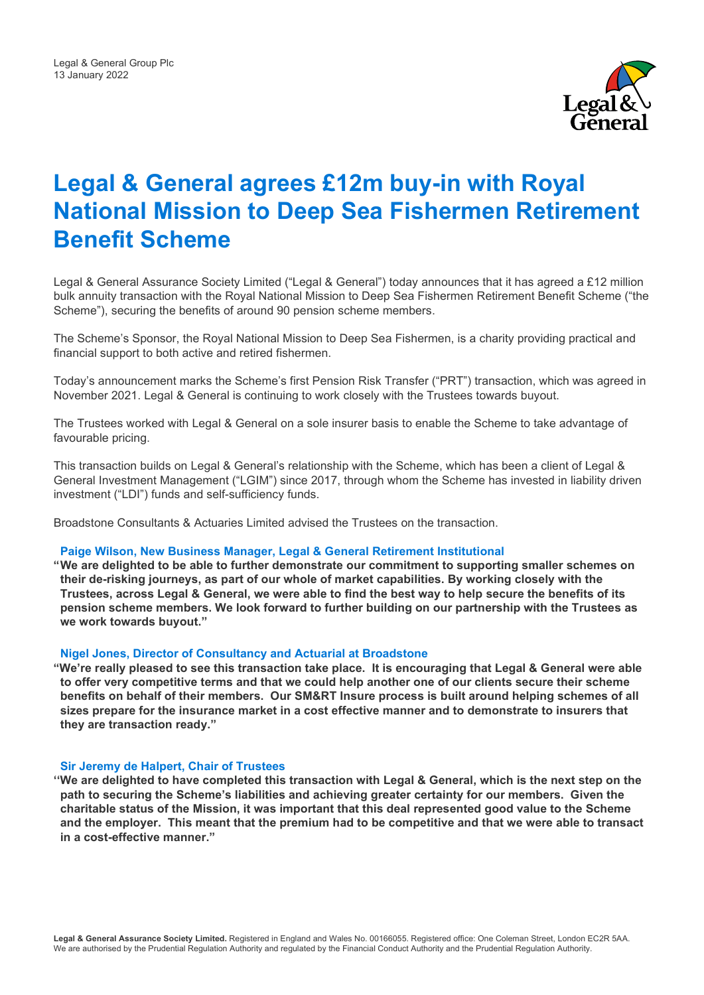

# **Legal & General agrees £12m buy-in with Royal National Mission to Deep Sea Fishermen Retirement Benefit Scheme**

Legal & General Assurance Society Limited ("Legal & General") today announces that it has agreed a £12 million bulk annuity transaction with the Royal National Mission to Deep Sea Fishermen Retirement Benefit Scheme ("the Scheme"), securing the benefits of around 90 pension scheme members.

The Scheme's Sponsor, the Royal National Mission to Deep Sea Fishermen, is a charity providing practical and financial support to both active and retired fishermen.

Today's announcement marks the Scheme's first Pension Risk Transfer ("PRT") transaction, which was agreed in November 2021. Legal & General is continuing to work closely with the Trustees towards buyout.

The Trustees worked with Legal & General on a sole insurer basis to enable the Scheme to take advantage of favourable pricing.

This transaction builds on Legal & General's relationship with the Scheme, which has been a client of Legal & General Investment Management ("LGIM") since 2017, through whom the Scheme has invested in liability driven investment ("LDI") funds and self-sufficiency funds.

Broadstone Consultants & Actuaries Limited advised the Trustees on the transaction.

### **Paige Wilson, New Business Manager, Legal & General Retirement Institutional**

**"We are delighted to be able to further demonstrate our commitment to supporting smaller schemes on their de-risking journeys, as part of our whole of market capabilities. By working closely with the Trustees, across Legal & General, we were able to find the best way to help secure the benefits of its pension scheme members. We look forward to further building on our partnership with the Trustees as we work towards buyout."**

#### **Nigel Jones, Director of Consultancy and Actuarial at Broadstone**

**"We're really pleased to see this transaction take place. It is encouraging that Legal & General were able to offer very competitive terms and that we could help another one of our clients secure their scheme benefits on behalf of their members. Our SM&RT Insure process is built around helping schemes of all sizes prepare for the insurance market in a cost effective manner and to demonstrate to insurers that they are transaction ready."**

#### **Sir Jeremy de Halpert, Chair of Trustees**

**''We are delighted to have completed this transaction with Legal & General, which is the next step on the path to securing the Scheme's liabilities and achieving greater certainty for our members. Given the charitable status of the Mission, it was important that this deal represented good value to the Scheme and the employer. This meant that the premium had to be competitive and that we were able to transact in a cost-effective manner."**